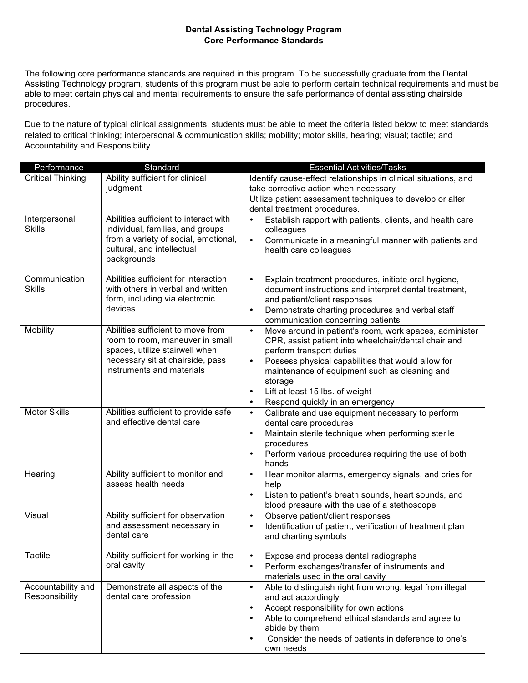## **Dental Assisting Technology Program Core Performance Standards**

The following core performance standards are required in this program. To be successfully graduate from the Dental Assisting Technology program, students of this program must be able to perform certain technical requirements and must be able to meet certain physical and mental requirements to ensure the safe performance of dental assisting chairside procedures.

Due to the nature of typical clinical assignments, students must be able to meet the criteria listed below to meet standards related to critical thinking; interpersonal & communication skills; mobility; motor skills, hearing; visual; tactile; and Accountability and Responsibility

| Performance                    | Standard                                                 | <b>Essential Activities/Tasks</b>                                                                          |
|--------------------------------|----------------------------------------------------------|------------------------------------------------------------------------------------------------------------|
| <b>Critical Thinking</b>       | Ability sufficient for clinical                          | Identify cause-effect relationships in clinical situations, and                                            |
|                                | judgment                                                 | take corrective action when necessary                                                                      |
|                                |                                                          | Utilize patient assessment techniques to develop or alter                                                  |
|                                | Abilities sufficient to interact with                    | dental treatment procedures.                                                                               |
| Interpersonal<br><b>Skills</b> | individual, families, and groups                         | Establish rapport with patients, clients, and health care<br>$\bullet$<br>colleagues                       |
|                                | from a variety of social, emotional,                     | Communicate in a meaningful manner with patients and<br>$\bullet$                                          |
|                                | cultural, and intellectual                               | health care colleagues                                                                                     |
|                                | backgrounds                                              |                                                                                                            |
|                                |                                                          |                                                                                                            |
| Communication                  | Abilities sufficient for interaction                     | Explain treatment procedures, initiate oral hygiene,<br>$\bullet$                                          |
| <b>Skills</b>                  | with others in verbal and written                        | document instructions and interpret dental treatment,                                                      |
|                                | form, including via electronic<br>devices                | and patient/client responses<br>Demonstrate charting procedures and verbal staff<br>$\bullet$              |
|                                |                                                          | communication concerning patients                                                                          |
| Mobility                       | Abilities sufficient to move from                        | Move around in patient's room, work spaces, administer<br>$\bullet$                                        |
|                                | room to room, maneuver in small                          | CPR, assist patient into wheelchair/dental chair and                                                       |
|                                | spaces, utilize stairwell when                           | perform transport duties                                                                                   |
|                                | necessary sit at chairside, pass                         | Possess physical capabilities that would allow for<br>$\bullet$                                            |
|                                | instruments and materials                                | maintenance of equipment such as cleaning and                                                              |
|                                |                                                          | storage                                                                                                    |
|                                |                                                          | Lift at least 15 lbs. of weight<br>$\bullet$<br>Respond quickly in an emergency<br>$\bullet$               |
| <b>Motor Skills</b>            | Abilities sufficient to provide safe                     | Calibrate and use equipment necessary to perform<br>$\bullet$                                              |
|                                | and effective dental care                                | dental care procedures                                                                                     |
|                                |                                                          | Maintain sterile technique when performing sterile<br>$\bullet$                                            |
|                                |                                                          | procedures                                                                                                 |
|                                |                                                          | Perform various procedures requiring the use of both<br>$\bullet$                                          |
|                                |                                                          | hands                                                                                                      |
| Hearing                        | Ability sufficient to monitor and<br>assess health needs | Hear monitor alarms, emergency signals, and cries for<br>$\bullet$                                         |
|                                |                                                          | help<br>$\bullet$                                                                                          |
|                                |                                                          | Listen to patient's breath sounds, heart sounds, and<br>blood pressure with the use of a stethoscope       |
| Visual                         | Ability sufficient for observation                       | Observe patient/client responses<br>$\bullet$                                                              |
|                                | and assessment necessary in                              | Identification of patient, verification of treatment plan<br>$\bullet$                                     |
|                                | dental care                                              | and charting symbols                                                                                       |
|                                |                                                          |                                                                                                            |
| <b>Tactile</b>                 | Ability sufficient for working in the                    | Expose and process dental radiographs<br>$\bullet$                                                         |
|                                | oral cavity                                              | Perform exchanges/transfer of instruments and<br>$\bullet$                                                 |
| Accountability and             | Demonstrate all aspects of the                           | materials used in the oral cavity<br>Able to distinguish right from wrong, legal from illegal<br>$\bullet$ |
| Responsibility                 | dental care profession                                   | and act accordingly                                                                                        |
|                                |                                                          | Accept responsibility for own actions<br>$\bullet$                                                         |
|                                |                                                          | Able to comprehend ethical standards and agree to<br>$\bullet$                                             |
|                                |                                                          | abide by them                                                                                              |
|                                |                                                          | Consider the needs of patients in deference to one's<br>$\bullet$                                          |
|                                |                                                          | own needs                                                                                                  |